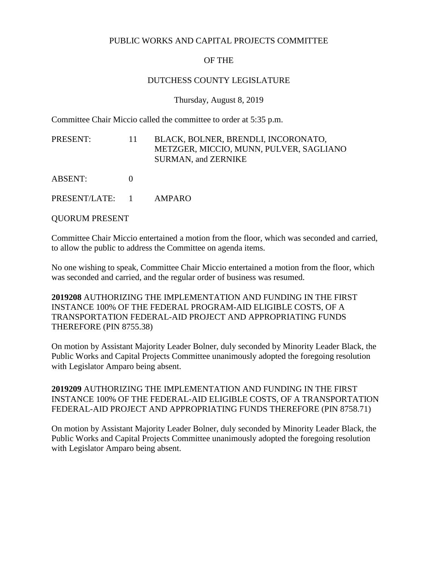## PUBLIC WORKS AND CAPITAL PROJECTS COMMITTEE

## OF THE

## DUTCHESS COUNTY LEGISLATURE

Thursday, August 8, 2019

Committee Chair Miccio called the committee to order at 5:35 p.m.

PRESENT: 11 BLACK, BOLNER, BRENDLI, INCORONATO, METZGER, MICCIO, MUNN, PULVER, SAGLIANO SURMAN, and ZERNIKE ABSENT: 0

PRESENT/LATE: 1 AMPARO

QUORUM PRESENT

Committee Chair Miccio entertained a motion from the floor, which was seconded and carried, to allow the public to address the Committee on agenda items.

No one wishing to speak, Committee Chair Miccio entertained a motion from the floor, which was seconded and carried, and the regular order of business was resumed.

**2019208** AUTHORIZING THE IMPLEMENTATION AND FUNDING IN THE FIRST INSTANCE 100% OF THE FEDERAL PROGRAM-AID ELIGIBLE COSTS, OF A TRANSPORTATION FEDERAL-AID PROJECT AND APPROPRIATING FUNDS THEREFORE (PIN 8755.38)

On motion by Assistant Majority Leader Bolner, duly seconded by Minority Leader Black, the Public Works and Capital Projects Committee unanimously adopted the foregoing resolution with Legislator Amparo being absent.

**2019209** AUTHORIZING THE IMPLEMENTATION AND FUNDING IN THE FIRST INSTANCE 100% OF THE FEDERAL-AID ELIGIBLE COSTS, OF A TRANSPORTATION FEDERAL-AID PROJECT AND APPROPRIATING FUNDS THEREFORE (PIN 8758.71)

On motion by Assistant Majority Leader Bolner, duly seconded by Minority Leader Black, the Public Works and Capital Projects Committee unanimously adopted the foregoing resolution with Legislator Amparo being absent.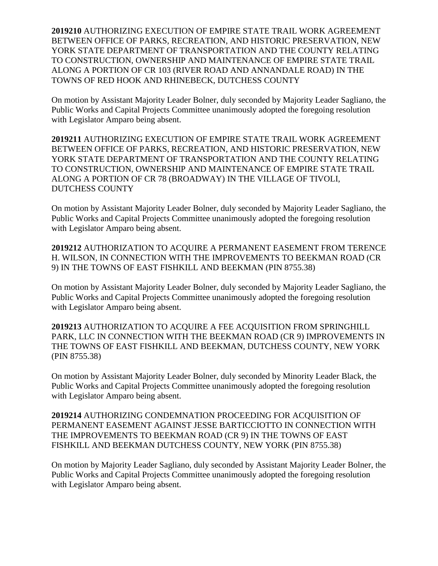**2019210** AUTHORIZING EXECUTION OF EMPIRE STATE TRAIL WORK AGREEMENT BETWEEN OFFICE OF PARKS, RECREATION, AND HISTORIC PRESERVATION, NEW YORK STATE DEPARTMENT OF TRANSPORTATION AND THE COUNTY RELATING TO CONSTRUCTION, OWNERSHIP AND MAINTENANCE OF EMPIRE STATE TRAIL ALONG A PORTION OF CR 103 (RIVER ROAD AND ANNANDALE ROAD) IN THE TOWNS OF RED HOOK AND RHINEBECK, DUTCHESS COUNTY

On motion by Assistant Majority Leader Bolner, duly seconded by Majority Leader Sagliano, the Public Works and Capital Projects Committee unanimously adopted the foregoing resolution with Legislator Amparo being absent.

**2019211** AUTHORIZING EXECUTION OF EMPIRE STATE TRAIL WORK AGREEMENT BETWEEN OFFICE OF PARKS, RECREATION, AND HISTORIC PRESERVATION, NEW YORK STATE DEPARTMENT OF TRANSPORTATION AND THE COUNTY RELATING TO CONSTRUCTION, OWNERSHIP AND MAINTENANCE OF EMPIRE STATE TRAIL ALONG A PORTION OF CR 78 (BROADWAY) IN THE VILLAGE OF TIVOLI, DUTCHESS COUNTY

On motion by Assistant Majority Leader Bolner, duly seconded by Majority Leader Sagliano, the Public Works and Capital Projects Committee unanimously adopted the foregoing resolution with Legislator Amparo being absent.

**2019212** AUTHORIZATION TO ACQUIRE A PERMANENT EASEMENT FROM TERENCE H. WILSON, IN CONNECTION WITH THE IMPROVEMENTS TO BEEKMAN ROAD (CR 9) IN THE TOWNS OF EAST FISHKILL AND BEEKMAN (PIN 8755.38)

On motion by Assistant Majority Leader Bolner, duly seconded by Majority Leader Sagliano, the Public Works and Capital Projects Committee unanimously adopted the foregoing resolution with Legislator Amparo being absent.

**2019213** AUTHORIZATION TO ACQUIRE A FEE ACQUISITION FROM SPRINGHILL PARK, LLC IN CONNECTION WITH THE BEEKMAN ROAD (CR 9) IMPROVEMENTS IN THE TOWNS OF EAST FISHKILL AND BEEKMAN, DUTCHESS COUNTY, NEW YORK (PIN 8755.38)

On motion by Assistant Majority Leader Bolner, duly seconded by Minority Leader Black, the Public Works and Capital Projects Committee unanimously adopted the foregoing resolution with Legislator Amparo being absent.

**2019214** AUTHORIZING CONDEMNATION PROCEEDING FOR ACQUISITION OF PERMANENT EASEMENT AGAINST JESSE BARTICCIOTTO IN CONNECTION WITH THE IMPROVEMENTS TO BEEKMAN ROAD (CR 9) IN THE TOWNS OF EAST FISHKILL AND BEEKMAN DUTCHESS COUNTY, NEW YORK (PIN 8755.38)

On motion by Majority Leader Sagliano, duly seconded by Assistant Majority Leader Bolner, the Public Works and Capital Projects Committee unanimously adopted the foregoing resolution with Legislator Amparo being absent.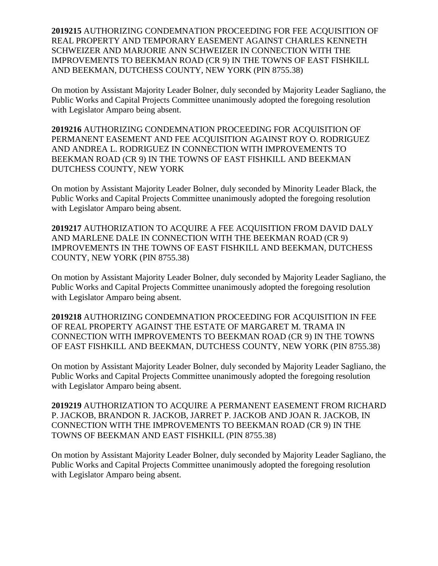**2019215** AUTHORIZING CONDEMNATION PROCEEDING FOR FEE ACQUISITION OF REAL PROPERTY AND TEMPORARY EASEMENT AGAINST CHARLES KENNETH SCHWEIZER AND MARJORIE ANN SCHWEIZER IN CONNECTION WITH THE IMPROVEMENTS TO BEEKMAN ROAD (CR 9) IN THE TOWNS OF EAST FISHKILL AND BEEKMAN, DUTCHESS COUNTY, NEW YORK (PIN 8755.38)

On motion by Assistant Majority Leader Bolner, duly seconded by Majority Leader Sagliano, the Public Works and Capital Projects Committee unanimously adopted the foregoing resolution with Legislator Amparo being absent.

**2019216** AUTHORIZING CONDEMNATION PROCEEDING FOR ACQUISITION OF PERMANENT EASEMENT AND FEE ACQUISITION AGAINST ROY O. RODRIGUEZ AND ANDREA L. RODRIGUEZ IN CONNECTION WITH IMPROVEMENTS TO BEEKMAN ROAD (CR 9) IN THE TOWNS OF EAST FISHKILL AND BEEKMAN DUTCHESS COUNTY, NEW YORK

On motion by Assistant Majority Leader Bolner, duly seconded by Minority Leader Black, the Public Works and Capital Projects Committee unanimously adopted the foregoing resolution with Legislator Amparo being absent.

**2019217** AUTHORIZATION TO ACQUIRE A FEE ACQUISITION FROM DAVID DALY AND MARLENE DALE IN CONNECTION WITH THE BEEKMAN ROAD (CR 9) IMPROVEMENTS IN THE TOWNS OF EAST FISHKILL AND BEEKMAN, DUTCHESS COUNTY, NEW YORK (PIN 8755.38)

On motion by Assistant Majority Leader Bolner, duly seconded by Majority Leader Sagliano, the Public Works and Capital Projects Committee unanimously adopted the foregoing resolution with Legislator Amparo being absent.

**2019218** AUTHORIZING CONDEMNATION PROCEEDING FOR ACQUISITION IN FEE OF REAL PROPERTY AGAINST THE ESTATE OF MARGARET M. TRAMA IN CONNECTION WITH IMPROVEMENTS TO BEEKMAN ROAD (CR 9) IN THE TOWNS OF EAST FISHKILL AND BEEKMAN, DUTCHESS COUNTY, NEW YORK (PIN 8755.38)

On motion by Assistant Majority Leader Bolner, duly seconded by Majority Leader Sagliano, the Public Works and Capital Projects Committee unanimously adopted the foregoing resolution with Legislator Amparo being absent.

**2019219** AUTHORIZATION TO ACQUIRE A PERMANENT EASEMENT FROM RICHARD P. JACKOB, BRANDON R. JACKOB, JARRET P. JACKOB AND JOAN R. JACKOB, IN CONNECTION WITH THE IMPROVEMENTS TO BEEKMAN ROAD (CR 9) IN THE TOWNS OF BEEKMAN AND EAST FISHKILL (PIN 8755.38)

On motion by Assistant Majority Leader Bolner, duly seconded by Majority Leader Sagliano, the Public Works and Capital Projects Committee unanimously adopted the foregoing resolution with Legislator Amparo being absent.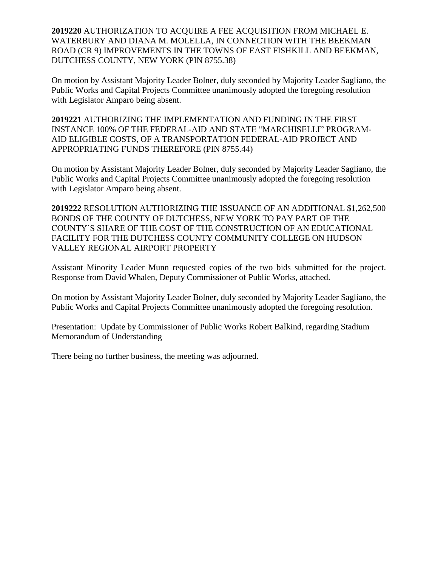**2019220** AUTHORIZATION TO ACQUIRE A FEE ACQUISITION FROM MICHAEL E. WATERBURY AND DIANA M. MOLELLA, IN CONNECTION WITH THE BEEKMAN ROAD (CR 9) IMPROVEMENTS IN THE TOWNS OF EAST FISHKILL AND BEEKMAN, DUTCHESS COUNTY, NEW YORK (PIN 8755.38)

On motion by Assistant Majority Leader Bolner, duly seconded by Majority Leader Sagliano, the Public Works and Capital Projects Committee unanimously adopted the foregoing resolution with Legislator Amparo being absent.

**2019221** AUTHORIZING THE IMPLEMENTATION AND FUNDING IN THE FIRST INSTANCE 100% OF THE FEDERAL-AID AND STATE "MARCHISELLI" PROGRAM-AID ELIGIBLE COSTS, OF A TRANSPORTATION FEDERAL-AID PROJECT AND APPROPRIATING FUNDS THEREFORE (PIN 8755.44)

On motion by Assistant Majority Leader Bolner, duly seconded by Majority Leader Sagliano, the Public Works and Capital Projects Committee unanimously adopted the foregoing resolution with Legislator Amparo being absent.

**2019222** RESOLUTION AUTHORIZING THE ISSUANCE OF AN ADDITIONAL \$1,262,500 BONDS OF THE COUNTY OF DUTCHESS, NEW YORK TO PAY PART OF THE COUNTY'S SHARE OF THE COST OF THE CONSTRUCTION OF AN EDUCATIONAL FACILITY FOR THE DUTCHESS COUNTY COMMUNITY COLLEGE ON HUDSON VALLEY REGIONAL AIRPORT PROPERTY

Assistant Minority Leader Munn requested copies of the two bids submitted for the project. Response from David Whalen, Deputy Commissioner of Public Works, attached.

On motion by Assistant Majority Leader Bolner, duly seconded by Majority Leader Sagliano, the Public Works and Capital Projects Committee unanimously adopted the foregoing resolution.

Presentation: Update by Commissioner of Public Works Robert Balkind, regarding Stadium Memorandum of Understanding

There being no further business, the meeting was adjourned.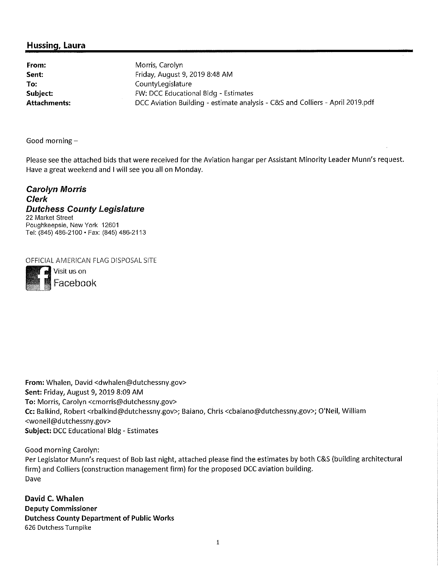## Hussing, Laura

From: Sent: To: Subject: **Attachments:** 

Morris, Carolyn Friday, August 9, 2019 8:48 AM CountyLegislature FW: DCC Educational Bldg - Estimates DCC Aviation Building - estimate analysis - C&S and Colliers - April 2019.pdf

Good morning  $-$ 

Please see the attached bids that were received for the Aviation hangar per Assistant Minority Leader Munn's request. Have a great weekend and I will see you all on Monday.

**Carolyn Morris Clerk Dutchess County Legislature** 22 Market Street Poughkeepsie, New York 12601 Tel: (845) 486-2100 · Fax: (845) 486-2113

OFFICIAL AMERICAN FLAG DISPOSAL SITE



From: Whalen, David <dwhalen@dutchessny.gov> Sent: Friday, August 9, 2019 8:09 AM To: Morris, Carolyn <cmorris@dutchessny.gov> Cc: Balkind, Robert <rbalkind@dutchessny.gov>; Baiano, Chris <cbaiano@dutchessny.gov>; O'Neil, William <woneil@dutchessny.gov> Subject: DCC Educational Bldg - Estimates

Good morning Carolyn:

Per Legislator Munn's request of Bob last night, attached please find the estimates by both C&S (building architectural firm) and Colliers (construction management firm) for the proposed DCC aviation building. Dave

David C. Whalen **Deputy Commissioner Dutchess County Department of Public Works** 626 Dutchess Turnpike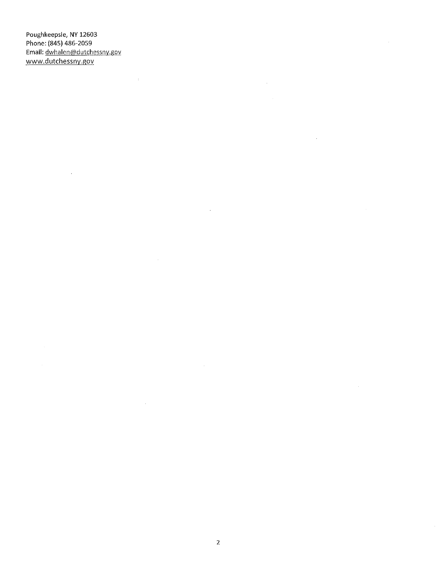Poughkeepsie, NY 12603 Phone: (845) 486-2059 Email: dwhalen@dutchessny.gov www.dutchessny.gov

 $\sim$ 

 $\sim 40^{\circ}$ 

 $\mathcal{L}_{\mathcal{L}}$ 

 $\mathcal{A}^{\mathcal{A}}$ 

 $\mathcal{A}^{\mathcal{A}}$ 

 $\sim$ 

 $\mathcal{A}^{\mathcal{A}}$ 

 $\bar{\alpha}$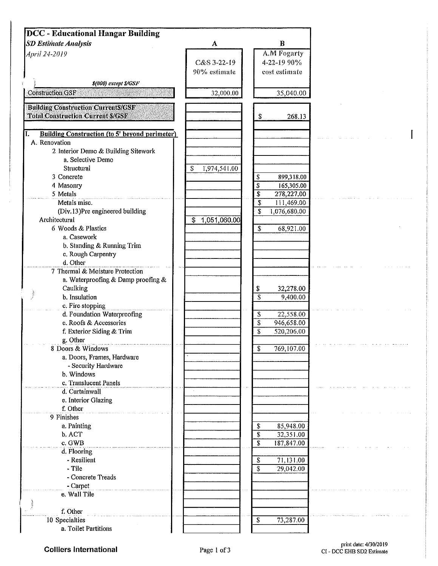| DCC - Educational Hangar Building                                                     |                     |                                      |  |
|---------------------------------------------------------------------------------------|---------------------|--------------------------------------|--|
| <b>SD Estimate Analysis</b>                                                           | $\mathbf A$         | $\bf{B}$                             |  |
| April 24-2019                                                                         |                     | A.M Fogarty                          |  |
|                                                                                       | C&S 3-22-19         | 4-22-19 90%                          |  |
|                                                                                       | 90% estimate        | cost estimate                        |  |
| \$(000) except \$/GSF                                                                 |                     |                                      |  |
| <b>Construction GSF</b>                                                               | 32,000.00           | 35,040.00                            |  |
|                                                                                       |                     |                                      |  |
| <b>Building Construction CurrentS/GSF</b><br><b>Total Construction Current \$/GSF</b> |                     |                                      |  |
|                                                                                       |                     | \$<br>268.13                         |  |
| <b>Building Construction (to 5' beyond perimeter)</b><br>I.                           |                     |                                      |  |
| A. Renovation                                                                         |                     |                                      |  |
| 2 Interior Demo & Building Sitework                                                   |                     |                                      |  |
| a, Selective Demo                                                                     |                     |                                      |  |
| Structural                                                                            | 1,974,541.00<br>S   |                                      |  |
| 3 Concrete                                                                            |                     | \$<br>899,318.00                     |  |
| 4 Masonry                                                                             |                     | \$<br>165,305.00                     |  |
| 5 Metals                                                                              |                     | \$<br>278,227.00                     |  |
| Metals misc.                                                                          |                     | \$<br>111,469.00                     |  |
| (Div.13)Pre engineered building                                                       |                     | S<br>1,076,680.00                    |  |
| Architectural                                                                         | 1,051,060.00<br>\$. |                                      |  |
| 6 Woods & Plastics                                                                    |                     | \$<br>68,921.00                      |  |
| a. Casework                                                                           |                     |                                      |  |
| b. Standing & Running Trim                                                            |                     |                                      |  |
| c. Rough Carpentry                                                                    |                     |                                      |  |
| d. Other                                                                              |                     |                                      |  |
| 7 Thermal & Moisture Protection                                                       |                     |                                      |  |
| a. Waterproofing & Damp proofing &                                                    |                     |                                      |  |
| Caulking                                                                              |                     | 32,278.00<br>S                       |  |
| b. Insulation                                                                         |                     | $\overline{\mathcal{S}}$<br>9,400.00 |  |
| c. Fire stopping                                                                      |                     |                                      |  |
| d. Foundation Waterproofing                                                           |                     | 22,558.00<br>\$                      |  |
| e. Roofs & Accessories                                                                |                     | \$<br>946,658.00                     |  |
| f. Exterior Siding & Trim                                                             |                     | \$<br>520,206.00                     |  |
| g. Other                                                                              |                     |                                      |  |
| 8 Doors & Windows                                                                     |                     | 769,107.00<br>Ъ                      |  |
| a. Doors, Frames, Hardware                                                            |                     |                                      |  |
| - Security Hardware                                                                   |                     |                                      |  |
| b. Windows                                                                            |                     |                                      |  |
| c, Translucent Panels                                                                 |                     |                                      |  |
| d. Curtainwall                                                                        |                     |                                      |  |
| e. Interior Glazing                                                                   |                     |                                      |  |
| f. Other                                                                              |                     |                                      |  |
| 9 Finishes                                                                            |                     |                                      |  |
| a. Painting                                                                           |                     | 85,948.00<br>\$                      |  |
| b. ACT                                                                                |                     | \$<br>32,351.00                      |  |
| c. GWB                                                                                |                     | \$<br>187,847.00                     |  |
| d. Flooring                                                                           |                     |                                      |  |
| - Resilient                                                                           |                     | 71,131.00<br>S                       |  |
| - Tile                                                                                |                     | \$<br>29,042.00                      |  |
| - Concrete Treads                                                                     |                     |                                      |  |
| - Carpet                                                                              |                     |                                      |  |
| e. Wall Tile                                                                          |                     |                                      |  |
|                                                                                       |                     |                                      |  |
| f. Other                                                                              |                     |                                      |  |
| 10 Specialties                                                                        |                     | 73,287.00<br>S                       |  |
| a. Toilet Partitions                                                                  |                     |                                      |  |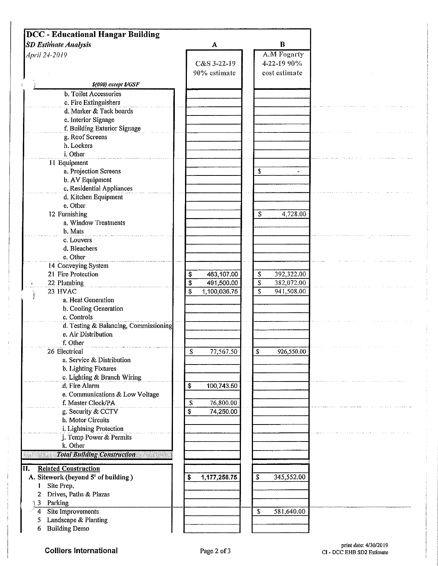| <b>DCC</b> - Educational Hangar Building              |    |                             |                          |                                             |  |
|-------------------------------------------------------|----|-----------------------------|--------------------------|---------------------------------------------|--|
| <b>SD Estimate Analysis</b>                           |    | A                           |                          | $\bf{B}$                                    |  |
| April 24-2019                                         |    | C&S 3-22-19<br>90% estimate |                          | A.M Fogarty<br>4-22-19 90%<br>cost estimate |  |
|                                                       |    |                             |                          |                                             |  |
| \$(000) except \$/GSF                                 |    |                             |                          |                                             |  |
| b. Toilet Accessories                                 |    |                             |                          |                                             |  |
| c. Fire Extinguishers                                 |    |                             |                          |                                             |  |
| d. Marker & Tack boards                               |    |                             |                          |                                             |  |
| e. Interior Signage<br>f. Building Exterior Signage   |    |                             |                          |                                             |  |
| g. Roof Screens                                       |    |                             |                          |                                             |  |
| h. Lockers                                            |    |                             |                          |                                             |  |
| i. Other                                              |    |                             |                          |                                             |  |
| 11 Equipment                                          |    |                             |                          |                                             |  |
| a. Projection Screens                                 |    |                             | \$                       | $\overline{a}$                              |  |
| b. AV Equipment                                       |    |                             |                          |                                             |  |
| c. Residential Appliances                             |    |                             |                          |                                             |  |
| d. Kitchen Equipment                                  |    |                             |                          |                                             |  |
| e, Other                                              |    |                             |                          |                                             |  |
| 12 Furnishing                                         |    |                             | \$                       | 4,728.00                                    |  |
| a. Window Treatments                                  |    |                             |                          |                                             |  |
| b. Mats                                               |    |                             |                          |                                             |  |
| c. Louvers                                            |    |                             |                          |                                             |  |
| d. Bleachers<br>e, Other                              |    |                             |                          |                                             |  |
| 14 Conveying System                                   |    |                             |                          |                                             |  |
| 21 Fire Protection                                    | \$ | 463,107.00                  | \$                       | 392,322.00                                  |  |
| 22 Plumbing                                           | \$ | 491,500.00                  | $\overline{\mathcal{S}}$ | 382,072.00                                  |  |
| 23 HVAC                                               | \$ | 1,100,036.75                | $\mathbb{S}$             | 941,508.00                                  |  |
| a. Heat Generation                                    |    |                             |                          |                                             |  |
| b. Cooling Generation                                 |    |                             |                          |                                             |  |
| c. Controls                                           |    |                             |                          |                                             |  |
| d. Testing & Balancing, Commissioning                 |    |                             |                          |                                             |  |
| e. Air Distribution                                   |    |                             |                          |                                             |  |
| f. Other                                              |    |                             |                          |                                             |  |
| 26 Electrical                                         | \$ | 77,567.50                   | \$                       | 926,550.00                                  |  |
| a. Service & Distribution                             |    |                             |                          |                                             |  |
| b. Lighting Fixtures                                  |    |                             |                          |                                             |  |
| c. Lighting & Branch Wiring                           |    |                             |                          |                                             |  |
| d. Fire Alarm                                         | \$ | 100,743.50                  |                          |                                             |  |
| e. Communications & Low Voltage<br>f. Master Clock/PA | \$ | 76,800.00                   |                          |                                             |  |
| g. Security & CCTV                                    | \$ | 74,250.00                   |                          |                                             |  |
| h. Motor Circuits                                     |    |                             |                          |                                             |  |
| i. Lightning Protection                               |    |                             |                          |                                             |  |
| j. Temp Power & Permits                               |    |                             |                          |                                             |  |
| k. Other                                              |    |                             |                          |                                             |  |
| <b>Total Building Construction</b>                    |    |                             |                          |                                             |  |
|                                                       |    |                             |                          |                                             |  |
| II.<br><b>Related Construction</b>                    |    |                             |                          |                                             |  |
| A. Sitework (beyond 5' of building)<br>Site Prep.     | s  | 1,177,258.75                | \$                       | 345,552.00                                  |  |
| Drives, Paths & Plazas                                |    |                             |                          |                                             |  |
| Parking<br>3                                          |    |                             |                          |                                             |  |
| Site Improvements<br>4                                |    |                             | S                        | 581,640.00                                  |  |
| Landscape & Planting                                  |    |                             |                          |                                             |  |
| <b>Building Demo</b><br>6                             |    |                             |                          |                                             |  |

 $\cdot$ 

Ť. ś.

Ť.  $\frac{1}{4}$ ŧ